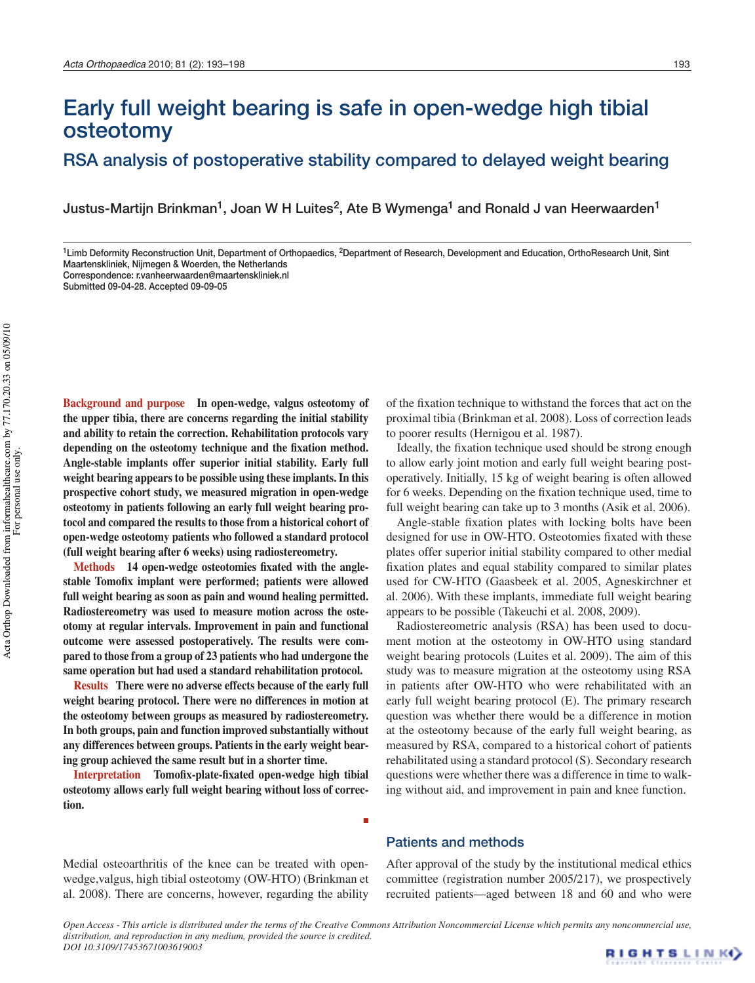# Early full weight bearing is safe in open-wedge high tibial osteotomy

RSA analysis of postoperative stability compared to delayed weight bearing

Justus-Martijn Brinkman<sup>1</sup>, Joan W H Luites<sup>2</sup>, Ate B Wymenga<sup>1</sup> and Ronald J van Heerwaarden<sup>1</sup>

**Background and purpose In open-wedge, valgus osteotomy of the upper tibia, there are concerns regarding the initial stability and ability to retain the correction. Rehabilitation protocols vary depending on the osteotomy technique and the fixation method. Angle-stable implants offer superior initial stability. Early full weight bearing appears to be possible using these implants. In this prospective cohort study, we measured migration in open-wedge osteotomy in patients following an early full weight bearing protocol and compared the results to those from a historical cohort of open-wedge osteotomy patients who followed a standard protocol (full weight bearing after 6 weeks) using radiostereometry.**

**Methods 14 open-wedge osteotomies fixated with the anglestable Tomofix implant were performed; patients were allowed full weight bearing as soon as pain and wound healing permitted. Radiostereometry was used to measure motion across the osteotomy at regular intervals. Improvement in pain and functional outcome were assessed postoperatively. The results were compared to those from a group of 23 patients who had undergone the same operation but had used a standard rehabilitation protocol.**

**Results There were no adverse effects because of the early full weight bearing protocol. There were no differences in motion at the osteotomy between groups as measured by radiostereometry. In both groups, pain and function improved substantially without any differences between groups. Patients in the early weight bearing group achieved the same result but in a shorter time.**

**Interpretation Tomofix-plate-fixated open-wedge high tibial osteotomy allows early full weight bearing without loss of correction.** 

of the fixation technique to withstand the forces that act on the proximal tibia (Brinkman et al. 2008). Loss of correction leads to poorer results (Hernigou et al. 1987).

Ideally, the fixation technique used should be strong enough to allow early joint motion and early full weight bearing postoperatively. Initially, 15 kg of weight bearing is often allowed for 6 weeks. Depending on the fixation technique used, time to full weight bearing can take up to 3 months (Asik et al. 2006).

Angle-stable fixation plates with locking bolts have been designed for use in OW-HTO. Osteotomies fixated with these plates offer superior initial stability compared to other medial fixation plates and equal stability compared to similar plates used for CW-HTO (Gaasbeek et al. 2005, Agneskirchner et al. 2006). With these implants, immediate full weight bearing appears to be possible (Takeuchi et al. 2008, 2009).

Radiostereometric analysis (RSA) has been used to document motion at the osteotomy in OW-HTO using standard weight bearing protocols (Luites et al. 2009). The aim of this study was to measure migration at the osteotomy using RSA in patients after OW-HTO who were rehabilitated with an early full weight bearing protocol (E). The primary research question was whether there would be a difference in motion at the osteotomy because of the early full weight bearing, as measured by RSA, compared to a historical cohort of patients rehabilitated using a standard protocol (S). Secondary research questions were whether there was a difference in time to walking without aid, and improvement in pain and knee function.

## Patients and methods

Medial osteoarthritis of the knee can be treated with openwedge,valgus, high tibial osteotomy (OW-HTO) (Brinkman et al. 2008). There are concerns, however, regarding the ability

After approval of the study by the institutional medical ethics committee (registration number 2005/217), we prospectively recruited patients—aged between 18 and 60 and who were

*Open Access - This article is distributed under the terms of the Creative Commons Attribution Noncommercial License which permits any noncommercial use, distribution, and reproduction in any medium, provided the source is credited. DOI 10.3109/17453671003619003*

 $\blacksquare$ 



<sup>&</sup>lt;sup>1</sup>Limb Deformity Reconstruction Unit, Department of Orthopaedics, <sup>2</sup>Department of Research, Development and Education, OrthoResearch Unit, Sint Maartenskliniek, Nijmegen & Woerden, the Netherlands Correspondence: r.vanheerwaarden@maartenskliniek.nl

Submitted 09-04-28. Accepted 09-09-05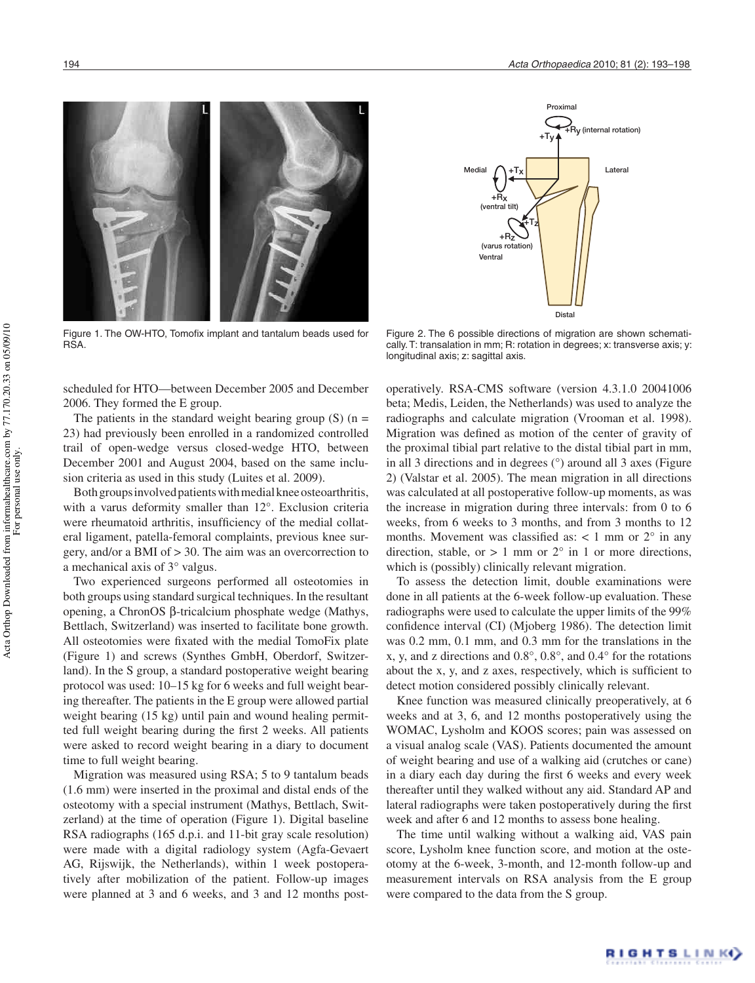+Ry (internal rotation)



Figure 1. The OW-HTO, Tomofix implant and tantalum beads used for RSA.

Distal  $+R<sub>z</sub>$ (varus rotation) Ventral +Tz

Proximal

+Ty

+Tx | Lateral

Figure 2. The 6 possible directions of migration are shown schematically. T: transalation in mm; R: rotation in degrees; x: transverse axis; y: longitudinal axis; z: sagittal axis.

Medial

 $+Rx$ (ventral tilt)

scheduled for HTO—between December 2005 and December 2006. They formed the E group.

The patients in the standard weight bearing group  $(S)$  (n = 23) had previously been enrolled in a randomized controlled trail of open-wedge versus closed-wedge HTO, between December 2001 and August 2004, based on the same inclusion criteria as used in this study (Luites et al. 2009).

Both groups involved patients with medial knee osteoarthritis, with a varus deformity smaller than 12°. Exclusion criteria were rheumatoid arthritis, insufficiency of the medial collateral ligament, patella-femoral complaints, previous knee surgery, and/or a BMI of > 30. The aim was an overcorrection to a mechanical axis of 3° valgus.

Two experienced surgeons performed all osteotomies in both groups using standard surgical techniques. In the resultant opening, a ChronOS β-tricalcium phosphate wedge (Mathys, Bettlach, Switzerland) was inserted to facilitate bone growth. All osteotomies were fixated with the medial TomoFix plate (Figure 1) and screws (Synthes GmbH, Oberdorf, Switzerland). In the S group, a standard postoperative weight bearing protocol was used: 10–15 kg for 6 weeks and full weight bearing thereafter. The patients in the E group were allowed partial weight bearing (15 kg) until pain and wound healing permitted full weight bearing during the first 2 weeks. All patients were asked to record weight bearing in a diary to document time to full weight bearing.

Migration was measured using RSA; 5 to 9 tantalum beads (1.6 mm) were inserted in the proximal and distal ends of the osteotomy with a special instrument (Mathys, Bettlach, Switzerland) at the time of operation (Figure 1). Digital baseline RSA radiographs (165 d.p.i. and 11-bit gray scale resolution) were made with a digital radiology system (Agfa-Gevaert AG, Rijswijk, the Netherlands), within 1 week postoperatively after mobilization of the patient. Follow-up images were planned at 3 and 6 weeks, and 3 and 12 months post-

operatively. RSA-CMS software (version 4.3.1.0 20041006 beta; Medis, Leiden, the Netherlands) was used to analyze the radiographs and calculate migration (Vrooman et al. 1998). Migration was defined as motion of the center of gravity of the proximal tibial part relative to the distal tibial part in mm, in all 3 directions and in degrees (°) around all 3 axes (Figure 2) (Valstar et al. 2005). The mean migration in all directions was calculated at all postoperative follow-up moments, as was the increase in migration during three intervals: from 0 to 6 weeks, from 6 weeks to 3 months, and from 3 months to 12 months. Movement was classified as:  $< 1$  mm or  $2^{\circ}$  in any direction, stable, or  $> 1$  mm or  $2^{\circ}$  in 1 or more directions, which is (possibly) clinically relevant migration.

To assess the detection limit, double examinations were done in all patients at the 6-week follow-up evaluation. These radiographs were used to calculate the upper limits of the 99% confidence interval (CI) (Mjoberg 1986). The detection limit was 0.2 mm, 0.1 mm, and 0.3 mm for the translations in the x, y, and z directions and 0.8°, 0.8°, and 0.4° for the rotations about the x, y, and z axes, respectively, which is sufficient to detect motion considered possibly clinically relevant.

Knee function was measured clinically preoperatively, at 6 weeks and at 3, 6, and 12 months postoperatively using the WOMAC, Lysholm and KOOS scores; pain was assessed on a visual analog scale (VAS). Patients documented the amount of weight bearing and use of a walking aid (crutches or cane) in a diary each day during the first 6 weeks and every week thereafter until they walked without any aid. Standard AP and lateral radiographs were taken postoperatively during the first week and after 6 and 12 months to assess bone healing.

The time until walking without a walking aid, VAS pain score, Lysholm knee function score, and motion at the osteotomy at the 6-week, 3-month, and 12-month follow-up and measurement intervals on RSA analysis from the E group were compared to the data from the S group.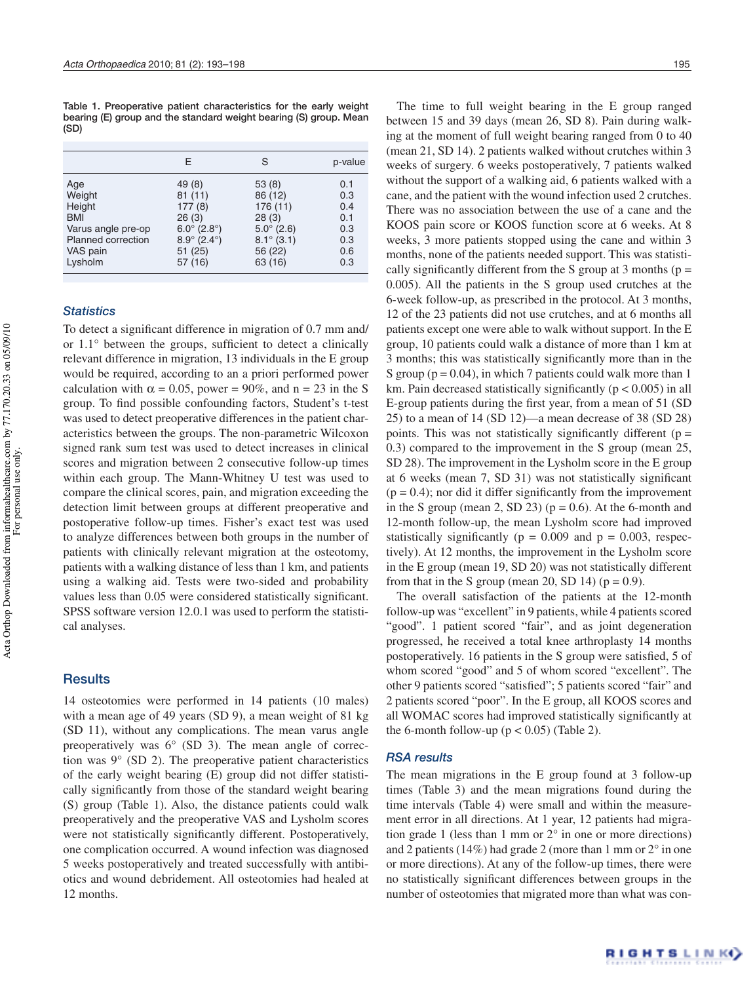Table 1. Preoperative patient characteristics for the early weight bearing (E) group and the standard weight bearing (S) group. Mean (SD)

| F<br>S<br>p-value<br>49 (8)<br>Age<br>53(8)<br>0.1                                                                                                                                                                                                                                                                                                           |  |
|--------------------------------------------------------------------------------------------------------------------------------------------------------------------------------------------------------------------------------------------------------------------------------------------------------------------------------------------------------------|--|
|                                                                                                                                                                                                                                                                                                                                                              |  |
| 81(11)<br>Weight<br>86 (12)<br>0.3<br>Height<br>176(11)<br>177(8)<br>0.4<br>26(3)<br>28(3)<br><b>BMI</b><br>0.1<br>$6.0^{\circ}$ (2.8°)<br>$5.0^{\circ}$ (2.6)<br>0.3<br>Varus angle pre-op<br>$8.9^{\circ}$ (2.4°)<br>$8.1^\circ$ (3.1)<br>0.3<br><b>Planned correction</b><br>VAS pain<br>51(25)<br>56 (22)<br>0.6<br>Lysholm<br>63 (16)<br>0.3<br>57 (16) |  |

#### *Statistics*

To detect a significant difference in migration of 0.7 mm and/ or 1.1° between the groups, sufficient to detect a clinically relevant difference in migration, 13 individuals in the E group would be required, according to an a priori performed power calculation with  $\alpha = 0.05$ , power = 90%, and n = 23 in the S group. To find possible confounding factors, Student's t-test was used to detect preoperative differences in the patient characteristics between the groups. The non-parametric Wilcoxon signed rank sum test was used to detect increases in clinical scores and migration between 2 consecutive follow-up times within each group. The Mann-Whitney U test was used to compare the clinical scores, pain, and migration exceeding the detection limit between groups at different preoperative and postoperative follow-up times. Fisher's exact test was used to analyze differences between both groups in the number of patients with clinically relevant migration at the osteotomy, patients with a walking distance of less than 1 km, and patients using a walking aid. Tests were two-sided and probability values less than 0.05 were considered statistically significant. SPSS software version 12.0.1 was used to perform the statistical analyses.

## **Results**

14 osteotomies were performed in 14 patients (10 males) with a mean age of 49 years (SD 9), a mean weight of 81 kg (SD 11), without any complications. The mean varus angle preoperatively was 6° (SD 3). The mean angle of correction was 9° (SD 2). The preoperative patient characteristics of the early weight bearing (E) group did not differ statistically significantly from those of the standard weight bearing (S) group (Table 1). Also, the distance patients could walk preoperatively and the preoperative VAS and Lysholm scores were not statistically significantly different. Postoperatively, one complication occurred. A wound infection was diagnosed 5 weeks postoperatively and treated successfully with antibiotics and wound debridement. All osteotomies had healed at 12 months.

The time to full weight bearing in the E group ranged between 15 and 39 days (mean 26, SD 8). Pain during walking at the moment of full weight bearing ranged from 0 to 40 (mean 21, SD 14). 2 patients walked without crutches within 3 weeks of surgery. 6 weeks postoperatively, 7 patients walked without the support of a walking aid, 6 patients walked with a cane, and the patient with the wound infection used 2 crutches. There was no association between the use of a cane and the KOOS pain score or KOOS function score at 6 weeks. At 8 weeks, 3 more patients stopped using the cane and within 3 months, none of the patients needed support. This was statistically significantly different from the S group at 3 months ( $p =$ 0.005). All the patients in the S group used crutches at the 6-week follow-up, as prescribed in the protocol. At 3 months, 12 of the 23 patients did not use crutches, and at 6 months all patients except one were able to walk without support. In the E group, 10 patients could walk a distance of more than 1 km at 3 months; this was statistically significantly more than in the S group ( $p = 0.04$ ), in which 7 patients could walk more than 1 km. Pain decreased statistically significantly ( $p < 0.005$ ) in all E-group patients during the first year, from a mean of 51 (SD 25) to a mean of 14 (SD 12)—a mean decrease of 38 (SD 28) points. This was not statistically significantly different ( $p =$ 0.3) compared to the improvement in the S group (mean 25, SD 28). The improvement in the Lysholm score in the E group at 6 weeks (mean 7, SD 31) was not statistically significant  $(p = 0.4)$ ; nor did it differ significantly from the improvement in the S group (mean 2, SD 23) ( $p = 0.6$ ). At the 6-month and 12-month follow-up, the mean Lysholm score had improved statistically significantly ( $p = 0.009$  and  $p = 0.003$ , respectively). At 12 months, the improvement in the Lysholm score in the E group (mean 19, SD 20) was not statistically different from that in the S group (mean 20, SD 14) ( $p = 0.9$ ).

The overall satisfaction of the patients at the 12-month follow-up was "excellent" in 9 patients, while 4 patients scored "good". 1 patient scored "fair", and as joint degeneration progressed, he received a total knee arthroplasty 14 months postoperatively. 16 patients in the S group were satisfied, 5 of whom scored "good" and 5 of whom scored "excellent". The other 9 patients scored "satisfied"; 5 patients scored "fair" and 2 patients scored "poor". In the E group, all KOOS scores and all WOMAC scores had improved statistically significantly at the 6-month follow-up  $(p < 0.05)$  (Table 2).

#### *RSA results*

The mean migrations in the E group found at 3 follow-up times (Table 3) and the mean migrations found during the time intervals (Table 4) were small and within the measurement error in all directions. At 1 year, 12 patients had migration grade 1 (less than 1 mm or 2° in one or more directions) and 2 patients (14%) had grade 2 (more than 1 mm or 2° in one or more directions). At any of the follow-up times, there were no statistically significant differences between groups in the number of osteotomies that migrated more than what was con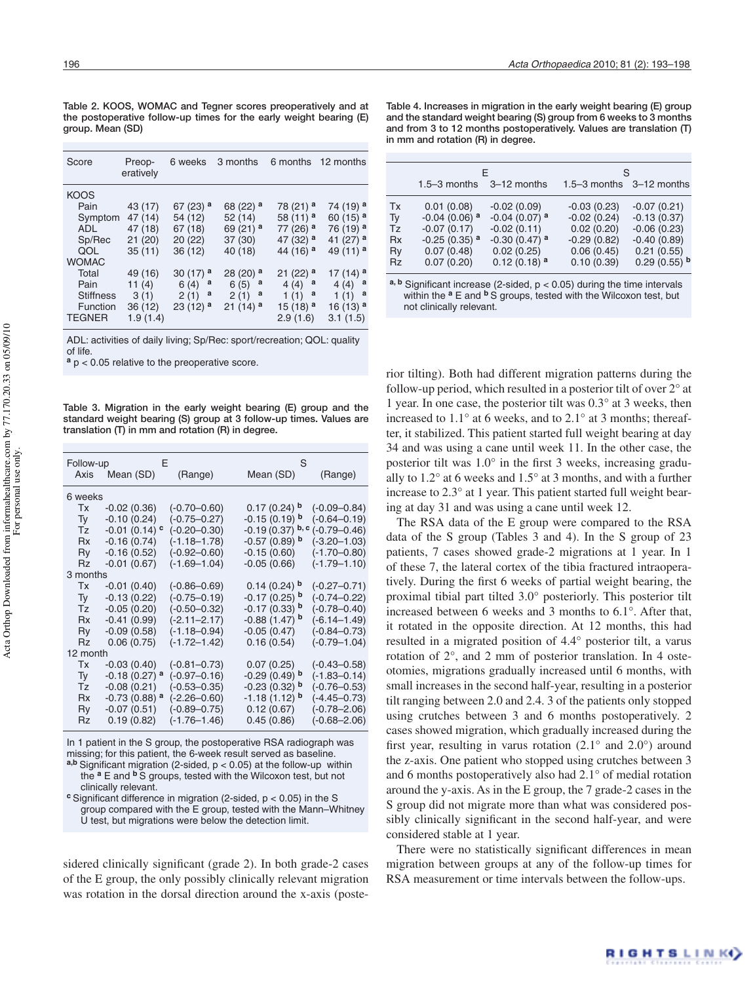Table 2. KOOS, WOMAC and Tegner scores preoperatively and at the postoperative follow-up times for the early weight bearing (E) group. Mean (SD)

| Score                                                                           | Preop-<br>eratively                                          | 6 weeks                                                                                  | 3 months                                                            |                                                                                                                | 6 months 12 months                                                                                                             |
|---------------------------------------------------------------------------------|--------------------------------------------------------------|------------------------------------------------------------------------------------------|---------------------------------------------------------------------|----------------------------------------------------------------------------------------------------------------|--------------------------------------------------------------------------------------------------------------------------------|
| <b>KOOS</b><br>Pain<br>Symptom<br>ADL<br>Sp/Rec<br>QOL<br><b>WOMAC</b><br>Total | 43 (17)<br>47 (14)<br>47 (18)<br>21(20)<br>35(11)<br>49 (16) | 67 $(23)$ <sup>a</sup><br>54 (12)<br>67(18)<br>20(22)<br>36(12)<br>$30(17)$ <sup>a</sup> | 68 (22) a<br>52 (14)<br>69 (21) a<br>37(30)<br>40 (18)<br>28 (20) a | 78 (21) a<br>58 $(11)$ <sup>a</sup><br>77 (26) a<br>47 (32) a<br>44 (16) <sup>a</sup><br>$21(22)$ <sup>a</sup> | 74 (19) a<br>60 $(15)$ <sup>a</sup><br>76 (19) a<br>41 $(27)$ <sup>a</sup><br>49 $(11)$ <sup>a</sup><br>17 $(14)$ <sup>a</sup> |
| Pain<br><b>Stiffness</b><br><b>Function</b><br><b>TEGNER</b>                    | 11(4)<br>3(1)<br>36 (12)<br>1.9(1.4)                         | <b>a</b><br>6(4)<br>$2(1)$ a<br>$23(12)$ <sup>a</sup>                                    | $6(5)$ a<br>$2(1)$ a<br>$21(14)$ <sup>a</sup>                       | 4 $(4)$ a<br>1 $(1)$ a<br>15 $(18)$ <sup>a</sup><br>2.9(1.6)                                                   | $4(4)$ a<br>1 $(1)$ a<br>16 $(13)$ <sup>a</sup><br>3.1(1.5)                                                                    |

ADL: activities of daily living; Sp/Rec: sport/recreation; QOL: quality of life.

**a** p < 0.05 relative to the preoperative score.

Table 3. Migration in the early weight bearing (E) group and the standard weight bearing (S) group at 3 follow-up times. Values are translation (T) in mm and rotation (R) in degree.

| Follow-up<br>F |                            |                  |                            |                  |  |  |
|----------------|----------------------------|------------------|----------------------------|------------------|--|--|
| Axis           | Mean (SD)                  | (Range)          | Mean (SD)                  | (Range)          |  |  |
| 6 weeks        |                            |                  |                            |                  |  |  |
| Tx             | $-0.02(0.36)$              | $(-0.70 - 0.60)$ | $0.17(0.24)$ <sup>b</sup>  | $(-0.09 - 0.84)$ |  |  |
| Ty             | $-0.10(0.24)$              | (-0.75–0.27)     | $-0.15(0.19)$ <sup>b</sup> | $(-0.64 - 0.19)$ |  |  |
| Tz             | $-0.01(0.14)$ c            | $(-0.20 - 0.30)$ | $-0.19(0.37)$ b, c         | $(-0.79 - 0.46)$ |  |  |
| <b>Rx</b>      | $-0.16(0.74)$              | (-1.18–1.78)     | $-0.57(0.89)$ <sup>b</sup> | $(-3.20 - 1.03)$ |  |  |
| Ry             | $-0.16(0.52)$              | $(-0.92 - 0.60)$ | $-0.15(0.60)$              | $(-1.70 - 0.80)$ |  |  |
| <b>Rz</b>      | $-0.01(0.67)$              | $(-1.69 - 1.04)$ | $-0.05(0.66)$              | $(-1.79 - 1.10)$ |  |  |
| 3 months       |                            |                  |                            |                  |  |  |
| Tx             | $-0.01(0.40)$              | $(-0.86 - 0.69)$ | $0.14(0.24)$ <sup>b</sup>  | $(-0.27 - 0.71)$ |  |  |
| Ty             | $-0.13(0.22)$              | (-0.75–0.19)     | $-0.17(0.25)$ <sup>b</sup> | (-0.74–0.22)     |  |  |
| Tz             | $-0.05(0.20)$              | $(-0.50 - 0.32)$ | $-0.17(0.33)$ b            | $(-0.78 - 0.40)$ |  |  |
| <b>Rx</b>      | $-0.41(0.99)$              | (-2.11–2.17)     | $-0.88(1.47)$ <sup>b</sup> | $(-6.14 - 1.49)$ |  |  |
| Ry             | $-0.09(0.58)$              | (-1.18–0.94)     | $-0.05(0.47)$              | $(-0.84 - 0.73)$ |  |  |
| <b>Rz</b>      | 0.06(0.75)                 | (-1.72–1.42)     | 0.16(0.54)                 | $(-0.79 - 1.04)$ |  |  |
| 12 month       |                            |                  |                            |                  |  |  |
| Tx             | $-0.03(0.40)$              | $(-0.81 - 0.73)$ | 0.07(0.25)                 | $(-0.43 - 0.58)$ |  |  |
| Ty             | $-0.18(0.27)$ <sup>a</sup> | $(-0.97 - 0.16)$ | $-0.29(0.49)$ <sup>b</sup> | $(-1.83 - 0.14)$ |  |  |
| Tz             | $-0.08(0.21)$              | (-0.53–0.35)     | $-0.23(0.32)$ <sup>b</sup> | $(-0.76 - 0.53)$ |  |  |
| <b>Rx</b>      | $-0.73(0.88)$ <sup>a</sup> | $(-2.26 - 0.60)$ | -1.18 (1.12) b             | (-4.45–0.73)     |  |  |
| Ry             | $-0.07(0.51)$              | $(-0.89 - 0.75)$ | 0.12(0.67)                 | $(-0.78 - 2.06)$ |  |  |
| Rz             | 0.19(0.82)                 | (-1.76–1.46)     | 0.45(0.86)                 | $(-0.68 - 2.06)$ |  |  |

In 1 patient in the S group, the postoperative RSA radiograph was missing; for this patient, the 6-week result served as baseline.

**a,b** Significant migration (2-sided, p < 0.05) at the follow-up within the **<sup>a</sup>** E and **b** S groups, tested with the Wilcoxon test, but not clinically relevant.

**<sup>c</sup>**Significant difference in migration (2-sided, p < 0.05) in the S group compared with the E group, tested with the Mann–Whitney U test, but migrations were below the detection limit.

sidered clinically significant (grade 2). In both grade-2 cases of the E group, the only possibly clinically relevant migration was rotation in the dorsal direction around the x-axis (poste-

Table 4. Increases in migration in the early weight bearing (E) group and the standard weight bearing (S) group from 6 weeks to 3 months and from 3 to 12 months postoperatively. Values are translation (T) in mm and rotation (R) in degree.

|           | $1.5 - 3$ months           | 3-12 months                | 1.5 $-3$ months $3-12$ months |                |  |
|-----------|----------------------------|----------------------------|-------------------------------|----------------|--|
| Tx        | 0.01(0.08)                 | $-0.02(0.09)$              | $-0.03(0.23)$                 | $-0.07(0.21)$  |  |
| Ty        | $-0.04(0.06)$ <sup>a</sup> | $-0.04(0.07)$ <sup>a</sup> | $-0.02(0.24)$                 | $-0.13(0.37)$  |  |
| Tz        | $-0.07(0.17)$              | $-0.02(0.11)$              | 0.02(0.20)                    | $-0.06(0.23)$  |  |
| <b>Rx</b> | $-0.25(0.35)$ <sup>a</sup> | $-0.30(0.47)$ <sup>a</sup> | $-0.29(0.82)$                 | $-0.40(0.89)$  |  |
| Ry        | 0.07(0.48)                 | 0.02(0.25)                 | 0.06(0.45)                    | 0.21(0.55)     |  |
| <b>Rz</b> | 0.07(0.20)                 | $0.12(0.18)$ <sup>a</sup>  | 0.10(0.39)                    | $0.29(0.55)$ b |  |

**a, b** Significant increase (2-sided, p < 0.05) during the time intervals within the **<sup>a</sup>** E and **b** S groups, tested with the Wilcoxon test, but not clinically relevant.

rior tilting). Both had different migration patterns during the follow-up period, which resulted in a posterior tilt of over 2° at 1 year. In one case, the posterior tilt was 0.3° at 3 weeks, then increased to 1.1° at 6 weeks, and to 2.1° at 3 months; thereafter, it stabilized. This patient started full weight bearing at day 34 and was using a cane until week 11. In the other case, the posterior tilt was 1.0° in the first 3 weeks, increasing gradually to 1.2° at 6 weeks and 1.5° at 3 months, and with a further increase to 2.3° at 1 year. This patient started full weight bearing at day 31 and was using a cane until week 12.

The RSA data of the E group were compared to the RSA data of the S group (Tables 3 and 4). In the S group of 23 patients, 7 cases showed grade-2 migrations at 1 year. In 1 of these 7, the lateral cortex of the tibia fractured intraoperatively. During the first 6 weeks of partial weight bearing, the proximal tibial part tilted 3.0° posteriorly. This posterior tilt increased between 6 weeks and 3 months to 6.1°. After that, it rotated in the opposite direction. At 12 months, this had resulted in a migrated position of 4.4° posterior tilt, a varus rotation of 2°, and 2 mm of posterior translation. In 4 osteotomies, migrations gradually increased until 6 months, with small increases in the second half-year, resulting in a posterior tilt ranging between 2.0 and 2.4. 3 of the patients only stopped using crutches between 3 and 6 months postoperatively. 2 cases showed migration, which gradually increased during the first year, resulting in varus rotation  $(2.1^{\circ}$  and  $2.0^{\circ})$  around the z-axis. One patient who stopped using crutches between 3 and 6 months postoperatively also had 2.1° of medial rotation around the y-axis. As in the E group, the 7 grade-2 cases in the S group did not migrate more than what was considered possibly clinically significant in the second half-year, and were considered stable at 1 year.

There were no statistically significant differences in mean migration between groups at any of the follow-up times for RSA measurement or time intervals between the follow-ups.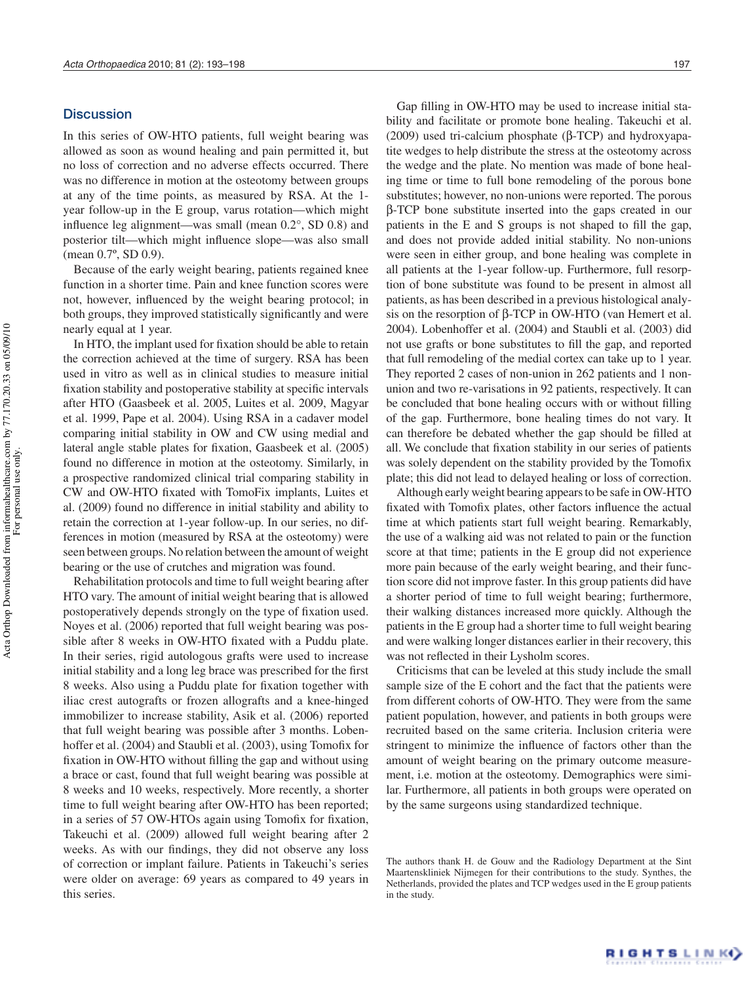### **Discussion**

In this series of OW-HTO patients, full weight bearing was allowed as soon as wound healing and pain permitted it, but no loss of correction and no adverse effects occurred. There was no difference in motion at the osteotomy between groups at any of the time points, as measured by RSA. At the 1 year follow-up in the E group, varus rotation—which might influence leg alignment—was small (mean 0.2°, SD 0.8) and posterior tilt—which might influence slope—was also small (mean 0.7º, SD 0.9).

Because of the early weight bearing, patients regained knee function in a shorter time. Pain and knee function scores were not, however, influenced by the weight bearing protocol; in both groups, they improved statistically significantly and were nearly equal at 1 year.

In HTO, the implant used for fixation should be able to retain the correction achieved at the time of surgery. RSA has been used in vitro as well as in clinical studies to measure initial fixation stability and postoperative stability at specific intervals after HTO (Gaasbeek et al. 2005, Luites et al. 2009, Magyar et al. 1999, Pape et al. 2004). Using RSA in a cadaver model comparing initial stability in OW and CW using medial and lateral angle stable plates for fixation, Gaasbeek et al. (2005) found no difference in motion at the osteotomy. Similarly, in a prospective randomized clinical trial comparing stability in CW and OW-HTO fixated with TomoFix implants, Luites et al. (2009) found no difference in initial stability and ability to retain the correction at 1-year follow-up. In our series, no differences in motion (measured by RSA at the osteotomy) were seen between groups. No relation between the amount of weight bearing or the use of crutches and migration was found.

Rehabilitation protocols and time to full weight bearing after HTO vary. The amount of initial weight bearing that is allowed postoperatively depends strongly on the type of fixation used. Noyes et al. (2006) reported that full weight bearing was possible after 8 weeks in OW-HTO fixated with a Puddu plate. In their series, rigid autologous grafts were used to increase initial stability and a long leg brace was prescribed for the first 8 weeks. Also using a Puddu plate for fixation together with iliac crest autografts or frozen allografts and a knee-hinged immobilizer to increase stability, Asik et al. (2006) reported that full weight bearing was possible after 3 months. Lobenhoffer et al. (2004) and Staubli et al. (2003), using Tomofix for fixation in OW-HTO without filling the gap and without using a brace or cast, found that full weight bearing was possible at 8 weeks and 10 weeks, respectively. More recently, a shorter time to full weight bearing after OW-HTO has been reported; in a series of 57 OW-HTOs again using Tomofix for fixation, Takeuchi et al. (2009) allowed full weight bearing after 2 weeks. As with our findings, they did not observe any loss of correction or implant failure. Patients in Takeuchi's series were older on average: 69 years as compared to 49 years in this series.

Gap filling in OW-HTO may be used to increase initial stability and facilitate or promote bone healing. Takeuchi et al. (2009) used tri-calcium phosphate (β-TCP) and hydroxyapatite wedges to help distribute the stress at the osteotomy across the wedge and the plate. No mention was made of bone healing time or time to full bone remodeling of the porous bone substitutes; however, no non-unions were reported. The porous β-TCP bone substitute inserted into the gaps created in our patients in the E and S groups is not shaped to fill the gap, and does not provide added initial stability. No non-unions were seen in either group, and bone healing was complete in all patients at the 1-year follow-up. Furthermore, full resorption of bone substitute was found to be present in almost all patients, as has been described in a previous histological analysis on the resorption of β-TCP in OW-HTO (van Hemert et al. 2004). Lobenhoffer et al. (2004) and Staubli et al. (2003) did not use grafts or bone substitutes to fill the gap, and reported that full remodeling of the medial cortex can take up to 1 year. They reported 2 cases of non-union in 262 patients and 1 nonunion and two re-varisations in 92 patients, respectively. It can be concluded that bone healing occurs with or without filling of the gap. Furthermore, bone healing times do not vary. It can therefore be debated whether the gap should be filled at all. We conclude that fixation stability in our series of patients was solely dependent on the stability provided by the Tomofix plate; this did not lead to delayed healing or loss of correction.

Although early weight bearing appears to be safe in OW-HTO fixated with Tomofix plates, other factors influence the actual time at which patients start full weight bearing. Remarkably, the use of a walking aid was not related to pain or the function score at that time; patients in the E group did not experience more pain because of the early weight bearing, and their function score did not improve faster. In this group patients did have a shorter period of time to full weight bearing; furthermore, their walking distances increased more quickly. Although the patients in the E group had a shorter time to full weight bearing and were walking longer distances earlier in their recovery, this was not reflected in their Lysholm scores.

Criticisms that can be leveled at this study include the small sample size of the E cohort and the fact that the patients were from different cohorts of OW-HTO. They were from the same patient population, however, and patients in both groups were recruited based on the same criteria. Inclusion criteria were stringent to minimize the influence of factors other than the amount of weight bearing on the primary outcome measurement, i.e. motion at the osteotomy. Demographics were similar. Furthermore, all patients in both groups were operated on by the same surgeons using standardized technique.

The authors thank H. de Gouw and the Radiology Department at the Sint Maartenskliniek Nijmegen for their contributions to the study. Synthes, the Netherlands, provided the plates and TCP wedges used in the E group patients in the study.